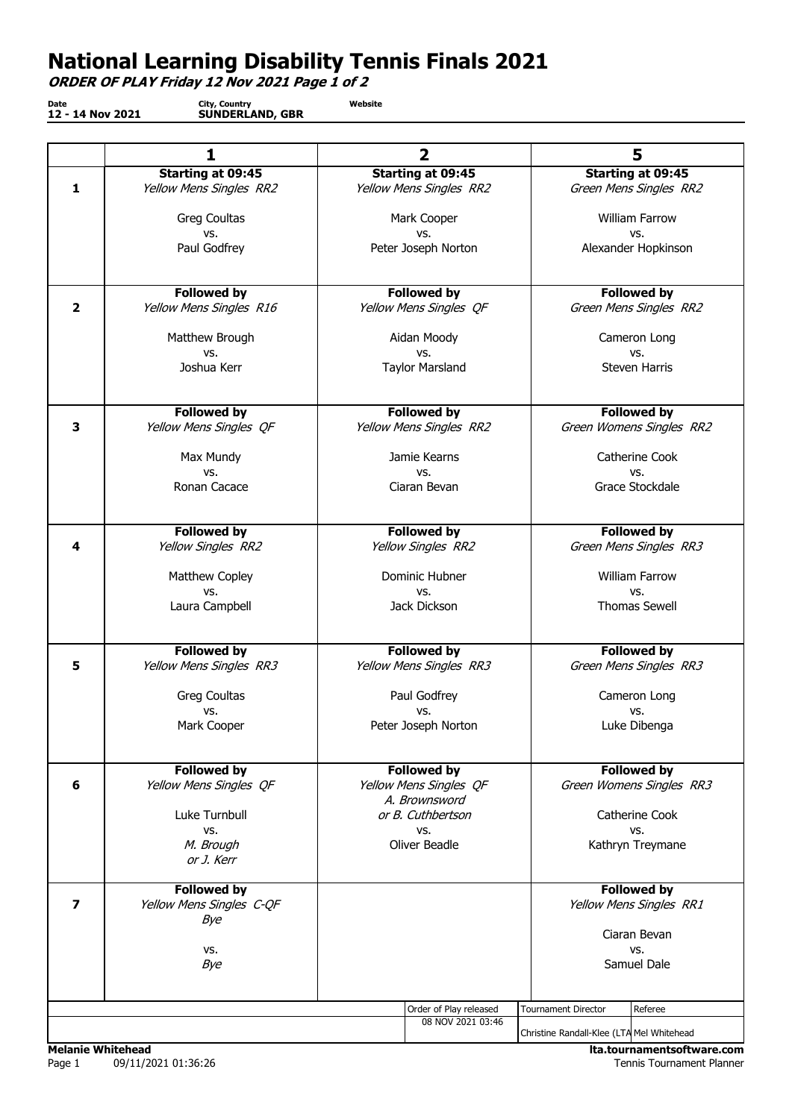## National Learning Disability Tennis Finals 2021

ORDER OF PLAY Friday 12 Nov 2021 Page 1 of 2

Date 12 - 14 Nov 2021 City, Country SUNDERLAND, GBR Website

|                         | 1                               | $\overline{2}$                          | 5                                         |
|-------------------------|---------------------------------|-----------------------------------------|-------------------------------------------|
|                         | <b>Starting at 09:45</b>        | <b>Starting at 09:45</b>                | Starting at 09:45                         |
| $\mathbf{1}$            | Yellow Mens Singles RR2         | Yellow Mens Singles RR2                 | Green Mens Singles RR2                    |
|                         | Greg Coultas                    | Mark Cooper                             | <b>William Farrow</b>                     |
|                         | VS.                             | VS.                                     | VS.                                       |
|                         | Paul Godfrey                    | Peter Joseph Norton                     | Alexander Hopkinson                       |
|                         |                                 |                                         |                                           |
|                         | <b>Followed by</b>              | <b>Followed by</b>                      | <b>Followed by</b>                        |
| $\overline{\mathbf{2}}$ | Yellow Mens Singles R16         | Yellow Mens Singles OF                  | Green Mens Singles RR2                    |
|                         | Matthew Brough                  | Aidan Moody                             | Cameron Long                              |
|                         | VS.                             | VS.                                     | VS.                                       |
|                         | Joshua Kerr                     | <b>Taylor Marsland</b>                  | Steven Harris                             |
|                         | <b>Followed by</b>              | <b>Followed by</b>                      | <b>Followed by</b>                        |
| 3                       | Yellow Mens Singles QF          | Yellow Mens Singles RR2                 | Green Womens Singles RR2                  |
|                         | Max Mundy                       | Jamie Kearns                            | Catherine Cook                            |
|                         | VS.                             | VS.                                     | VS.                                       |
|                         | Ronan Cacace                    | Ciaran Bevan                            | Grace Stockdale                           |
|                         | <b>Followed by</b>              | <b>Followed by</b>                      | <b>Followed by</b>                        |
| 4                       | Yellow Singles RR2              | Yellow Singles RR2                      | Green Mens Singles RR3                    |
|                         | Matthew Copley                  | Dominic Hubner                          | <b>William Farrow</b>                     |
|                         | VS.                             | VS.                                     | VS.                                       |
|                         | Laura Campbell                  | Jack Dickson                            | <b>Thomas Sewell</b>                      |
|                         | <b>Followed by</b>              | <b>Followed by</b>                      | <b>Followed by</b>                        |
| 5                       | Yellow Mens Singles RR3         | Yellow Mens Singles RR3                 | Green Mens Singles RR3                    |
|                         | <b>Greg Coultas</b>             | Paul Godfrey                            | Cameron Long                              |
|                         | VS.                             | vs.                                     | VS.                                       |
|                         | Mark Cooper                     | Peter Joseph Norton                     | Luke Dibenga                              |
|                         | <b>Followed by</b>              | <b>Followed by</b>                      | <b>Followed by</b>                        |
| 6                       | Yellow Mens Singles QF          | Yellow Mens Singles QF<br>A. Brownsword | Green Womens Singles RR3                  |
|                         | Luke Turnbull                   | or B. Cuthbertson                       | Catherine Cook                            |
|                         | VS.                             | VS.                                     | VS.                                       |
|                         | M. Brough<br>or J. Kerr         | Oliver Beadle                           | Kathryn Treymane                          |
|                         | <b>Followed by</b>              |                                         | <b>Followed by</b>                        |
| $\overline{\mathbf{z}}$ | Yellow Mens Singles C-QF<br>Bye |                                         | Yellow Mens Singles RR1                   |
|                         |                                 |                                         | Ciaran Bevan                              |
|                         | VS.                             |                                         | VS.                                       |
|                         | Bye                             |                                         | Samuel Dale                               |
|                         |                                 | Order of Play released                  | <b>Tournament Director</b><br>Referee     |
|                         |                                 | 08 NOV 2021 03:46                       |                                           |
|                         |                                 |                                         | Christine Randall-Klee (LTA Mel Whitehead |